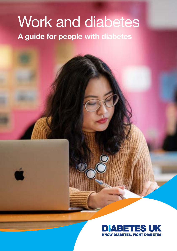# Work and diabetes A guide for people with diabetes

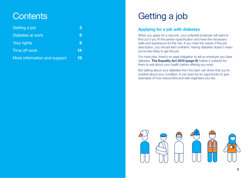# **Contents**

| Getting a job                | 3  |
|------------------------------|----|
| Diabetes at work             | 6  |
| Your rights                  | 9  |
| Time off work                | 14 |
| More information and support | 19 |

# Getting a job

## Applying for a job with diabetes

When you apply for a new job, your potential employer will want to find out if you fit the person specification and have the necessary skills and experience for the role. If you meet the needs of the job description, you should feel confident. Having diabetes doesn't mean you're less likely to get the job.

For most jobs, there's no legal obligation to tell an employer you have diabetes. [The Equality Act](#page-4-0) 2010 (page 9) makes it unlawful for them to ask about your health before offering you work.

But talking about your diabetes from the start can show that you're positive about your condition. It can even be an opportunity to give examples of how resourceful and well organised you are.

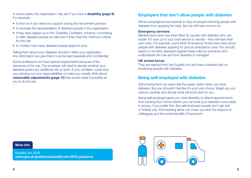In some cases, the organisation may ask if you have a **disability (page 9)** For example:

- to find out if you need any support during the recruitment process
- to increase the representation of disabled people in the organisation
- if they have signed up to the 'Disability Confident' scheme, committing to offer disabled people an interview if they meet the minimum criteria for the role
- to monitor how many disabled people apply for jobs.

Telling them about your diabetes shouldn't affect your application. Any information you give them must be kept separate and confidential.

Some professions do have special requirements because of the demands of the role. The employer will need to decide whether your diabetes poses any additional risk at work. If your condition could stop you carrying out your responsibilities or make you unsafe, think about **[reasonable adjustments](#page-5-0) (page 11)** that would make it possible for you to do the job.

## Employers that don't allow people with diabetes

We've campaigned successfully to stop employers banning people with diabetes from applying for roles. But we still have work to do.

#### Emergency services

Blanket bans have now been lifted for people with diabetes who use insulin. It's now up to your local service to decide – they will have their own rules. For example, some NHS Ambulance Trusts have rules about people with diabetes applying for jobs as ambulance crew. You should expect to be fairly assessed against these rules by someone who understands the role and how diabetes is managed.

#### UK armed forces

They are exempt from the Equality Act and have a blanket ban on employing people with diabetes.

## Being self-employed with diabetes

Self-employment can seem like the easier option when you have diabetes. But you shouldn't feel like it's your only choice. Weigh up your options carefully and decide what will work best for you.

Being self-employed gives you more flexibility to attend appointments. And working from home means you can treat your diabetes more easily in privacy, if you prefer this. But self-employed people don't get sick or holiday pay. And working alone can mean you lack the support of colleagues and the social benefits of teamwork.

### More info

Equality Act 2010 www.[gov.uk/guidance/equality-act-2010-guidance](http://gov.uk/guidance/equality-act-2010-guidance)

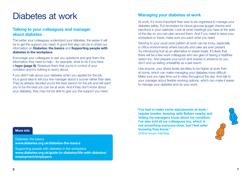# <span id="page-3-0"></span>Diabetes at work

## Talking to your colleagues and manager about diabetes

The better your colleagues understand your diabetes, the easier it will be to get the support you need. A good first step can be to share our information on **Diabetes: the basics** and **Supporting people with** diabetes in the workplace.

Encourage your colleagues to ask you questions and give them the information they need to help – for example, what to do if you have a **[hypo \(page 8\)](#page-4-0)**. Reassure them that you're in control of your condition and it's nothing to worry about.

If you didn't talk about your diabetes when you applied for the job. it's a good idea to tell your line manager about it sooner rather than later. They've already decided you're the best person for the job and will want you to be the best you can be at work. And if they don't know about your diabetes, they may not be able to give you the support you need.

## Managing your diabetes at work

At work, it's more important than ever to be organised to manage your diabetes safely. Put reminders for blood glucose (sugar) checks and injections in your calendar. Look at what meetings you have at the start of the day so you can plan around them. And if you need to leave your workplace or travel, make sure you pack what you need.

Sticking to your usual work pattern at work can be tricky, especially in office environments where biscuits and cake are ever present. Try introducing fruit as an alternative to sweet treats. It's likely that there will be a few work colleagues who are glad of having a healthier option too. And prepare your lunch and snacks in advance so you don't end up eating unhealthily as a last resort.

Like anyone, your stress levels are likely to be higher at work than at home, which can make managing your diabetes more difficult. Make sure you take time out to relax throughout the day. And talk to your manager about flexible working options, which can make it easier to manage your diabetes and do your work.

"I've had to make some adjustments at work – regular breaks, keeping Jelly Babies nearby and letting my managers know about my condition. I've also told all my colleagues too, which is not something everyone does, but I feel safer knowing they know." Online forum member



#### More info

Diabetes: the basics www.[diabetes.org.uk/diabetes-the-basics](https://www.diabetes.org.uk/diabetes-the-basics)

Supporting people with diabetes in the workplace www.[diabetes.org.uk/guide-to-diabetes/life-with-diabetes/](https://www.diabetes.org.uk/guide-to-diabetes/life-with-diabetes/employment/employers) [employment/employers](https://www.diabetes.org.uk/guide-to-diabetes/life-with-diabetes/employment/employers)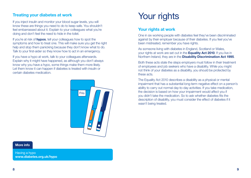## <span id="page-4-0"></span>Treating your diabetes at work

If you inject insulin and monitor your blood sugar levels, you will know these are things you need to do to keep safe. You shouldn't feel embarrassed about it. Explain to your colleagues what you're doing and don't feel the need to hide in the toilet.

If you're at risk of **hypos**, tell your colleagues how to spot the [symptoms](https://www.diabetes.org.uk/guide-to-diabetes/complications/hypos) and [how to treat one](https://www.diabetes.org.uk/Guide-to-diabetes/Complications/Hypos/Having-a-hypo). This will make sure you get the right help and stop them panicking because they don't know what to do. Talk to your first-aider so they know how to act in an emergency.

If you have a [hypo](https://www.diabetes.org.uk/guide-to-diabetes/complications/hypos) at work, talk to your colleagues afterwards. Explain why it might have happened, as although you don't always know why you have a hypo, some things make them more likely. Let them know it can happen if diabetes is treated with insulin or certain diabetes medication.



## More info

Having a hypo [www.diabetes.org.uk/hypo](http://www.diabetes.org.uk/hypo)

# Your rights

## Your rights at work

One in six working people with diabetes feel they've been discriminated against by their employer because of their diabetes. If you feel you've been mistreated, remember you have rights.

As someone living with diabetes in England, Scotland or Wales, your rights at work are set out in the **Equality Act 2010**. If you live in Northern Ireland, they are in the **Disability Discrimination Act 1995**.

Both these acts state the steps employers must follow in their treatment of employees and job seekers who have a disability. While you might not think of your diabetes as a disability, you should be protected by these acts.

The Equality Act 2010 describes a disability as a physical or mental impairment that has a substantial long-term negative effect on a person's ability to carry out normal day-to-day activities. If you take medication, the decision is based on how your impairment would affect you if you didn't take the medication. So to ask whether diabetes fits the description of disability, you must consider the effect of diabetes if it wasn't being treated.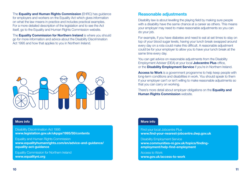<span id="page-5-0"></span>The **Equality and Human Rights Commission** (EHRC) has quidance for employers and workers on the Equality Act which gives information on what the law means in practice and includes practical examples. For a more detailed description of the legislation and to see the Act itself, go to the Equality and Human Rights Commission website.

The **Equality Commission for Northern Ireland** is where you should go for more information and advice about the Disability Discrimination Act 1995 and how that applies to you in Northern Ireland.



## More info

Disability Discrimination Act 1995 [www.legislation.gov.uk/ukpga/1995/50/contents](http://www.legislation.gov.uk/ukpga/1995/50/contents) 

Equality and Human Rights Commission www.[equalityhumanrights.com/en/advice-and-guidance/](http://equalityhumanrights.com/en/advice-and-guidance/equality-act-guidance) [equality-act-guidance](http://equalityhumanrights.com/en/advice-and-guidance/equality-act-guidance)

Equality Commission for Northern Ireland [www.equalityni.org](http://www.equalityni.org) 

## Reasonable adjustments

Disability law is about levelling the playing field by making sure people with a disability have the same chance at a career as others. This means your employer may need to make reasonable adjustments so you can do your job.

For example, if you have diabetes and need to eat at set times to stay on top of your blood sugar levels, having your lunch break swapped around every day on a rota could make this difficult. A reasonable adjustment could be for your employer to allow you to have your lunch break at the same time every day.

You can get advice on reasonable adjustments from the Disability Employment Adviser (DEA) at your local **Jobcentre Plus** office, or the **Disability Employment Service** if you're in Northern Ireland.

Access to Work is a government programme to help keep people with long-term conditions and disabilities in work. You should speak to them if your employer can't or isn't willing to make reasonable adjustments so that you can carry on working.

There's more detail about employer obligations on the **Equality and Human Rights Commission website.** 

## More info

Find your local Jobcentre Plus www[.find-your-nearest-jobcentre.dwp.gov.uk](http://find-your-nearest-jobcentre.dwp.gov.uk/)

Disability Employment Service www[.communities-ni.gov.uk/topics/finding](http://communities-ni.gov.uk/topics/finding-employment/help-find-employment)[employment/help-find-employment](http://communities-ni.gov.uk/topics/finding-employment/help-find-employment)

Access to Work www[.gov.uk/access-to-work](http://gov.uk/access-to-work)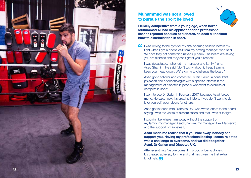

# Muhammad was not allowed to pursue the sport he loved



Fiercely competitive from a young age, when boxer Muhammad Ali had his application for a professional licence rejected because of diabetes, he dealt a knockout blow to discrimination in sport.

**If** I was driving to the gym for my final sparring session before my fight when I got a phone call from my boxing manager, who said, 'Ali have they got something mixed up here? The board are saying you are diabetic and they can't grant you a licence.'

I was devastated. I phoned my manager and family friend, Asad Shamim. He said, 'don't worry about it, keep training, keep your head down. We're going to challenge the board.'

Asad got a solicitor and contacted Dr Ian Gallen, a consultant physician and endocrinologist with a specific interest in the management of diabetes in people who want to exercise or compete in sport.

I went to see Dr Gallen in February 2017, because Asad forced me to. He said, 'look, it's creating history. If you don't want to do it for yourself, open doors for others.'

Asad got in touch with Diabetes UK, who wrote letters to the board saying I was the victim of discrimination and that I was fit to fight.

I wouldn't be where I am today without the support of my family, my manager Asad Shamim, my manager Alex Matvienko and the support of Diabetes UK.

Asad made me realise that if you hide away, nobody can support you. Having my professional boxing licence rejected was a challenge to overcome, and we did it together – Asad, Dr Gallen and Diabetes UK.

After everything I've overcome, I'm proud of being diabetic. It's created adversity for me and that has given me that extra bit of fight. **JJ**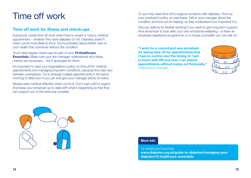# <span id="page-7-0"></span>Time off work

## Time off work for illness and check-ups

Everybody needs time off work when they're unwell or have a medical appointment – whether they have diabetes or not. Diabetes doesn't mean you're more likely to be ill. You're probably taking better care of your health than someone without the condition.

You'll need regular check-ups as part of your 15 Healthcare **Essentials.** Make sure your line manager understands why these checks are necessary – don't apologise for them.

It's important to read your organisation's policy on time off for medical appointments and managing long-term conditions, because the rules vary between workplaces. Try to arrange multiple appointments in the same morning or afternoon if you can and give your manager plenty of notice.

Always seek medical attention when you're ill. Don't wait until it's urgent. And keep your employer up to date with what's happening so that they can support you in the best way possible.

Or you may need time off to support someone with diabetes. Find out your employer's policy on care leave. Talk to your manager about the condition and how you're helping, so they understand how important it is.

Discuss options for flexible working if you need to give long-term support. And remember to look after your own emotional wellbeing – is there an employee assistance programme or in-house counsellor you can talk to?

"I work for a council and was penalised for taking time off for appointments that I had no control over the timing of, I got in touch with HR and now I can attend appointments without losing out financially." Online forum member





## More info

15 Healthcare Essentials www[.diabetes.org.uk/guide-to-diabetes/managing-your](https://www.diabetes.org.uk/guide-to-diabetes/managing-your-diabetes/15-healthcare-essentials)[diabetes/15-healthcare-essentials](https://www.diabetes.org.uk/guide-to-diabetes/managing-your-diabetes/15-healthcare-essentials)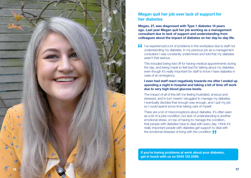

## Megan quit her job over lack of support for her diabetes

Megan, 27, was diagnosed with Type 1 diabetes 14 years ago. Last year Megan quit her job working as a management consultant due to lack of support and understanding from colleagues about the impact of diabetes on her day-to-day life.

I've experienced a lot of problems in the workplace due to staff not understanding my diabetes. In my previous job as a management consultant I was constantly undermined and told that my diabetes wasn't that serious.

This included being told off for having medical appointments during the day, and being made to feel bad for talking about my diabetes, even though it's really important for staff to know I have diabetes in case of an emergency.

### I even had staff react negatively towards me after I ended up spending a night in hospital and taking a bit of time off work due to very high blood glucose levels.

The impact of all of this left me feeling frustrated, anxious and stressed, and in turn meant I struggled to manage my diabetes. I eventually decided that enough was enough, and I quit my job so I could spend some time taking care of myself.

There are a lot of misconceptions about diabetes. It's often seen as a bit of a joke condition, but lack of understanding is another emotional stress, on top of having to manage the condition, that people with diabetes have to deal with every day. I think it's really important people with diabetes get support to deal with the emotional stresses of living with the condition.

If you're having problems at work about your diabetes, get in touch with us on 0345 123 2399.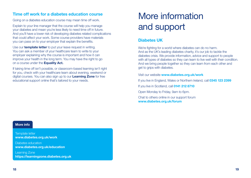## <span id="page-9-0"></span>Time off work for a diabetes education course

[Going on a diabetes education course](https://www.diabetes.org.uk/guide-to-diabetes/managing-your-diabetes/education) may mean time off work.

Explain to your line manager that the course will help you manage your diabetes and mean you're less likely to need time off in future. And you'll have a lower risk of developing diabetes related complications that could affect your work. Some course providers have materials you can pass on to your employer that explain the benefits.

Use our **template letter** to put your leave request in writing. You can ask a member of your healthcare team to write to your employer explaining why the course is important and how it can improve your health in the long term. You may have the right to go on a course under the **Equality Act.** 

If taking time off isn't possible, or classroom-based learning isn't right for you, check with your healthcare team about evening, weekend or digital courses. You can also sign up to our Learning Zone for free educational support online that's tailored to your needs.

# More information and support

## Diabetes UK

We're fighting for a world where diabetes can do no harm. And as the UK's leading diabetes charity, it's our job to tackle the diabetes crisis. We provide information, advice and support to people with all types of diabetes so they can learn to live well with their condition. And we bring people together so they can learn from each other and get to grips with diabetes.

Visit our website [www.diabetes.org.uk/work](http://www.diabetes.org.uk/work) 

If you live in England, Wales or Northern Ireland, call 0345 123 2399

If you live in Scotland, call 0141 212 8710

Open Monday to Friday, 9am to 6pm.

Chat to others online in our support forum [www.diabetes.org.uk/forum](http://www.diabetes.org.uk/forum) 

#### More info

Template letter [www.diabetes.org.uk/work](http://www.diabetes.org.uk/work)

Diabetes education [www.diabetes.org.uk/education](http://www.diabetes.org.uk/education)

Learning Zone <https://learningzone.diabetes.org.uk>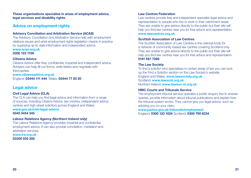These organisations specialise in areas of employment advice, legal services and disability rights.

## Advice on employment rights

## Advisory Conciliation and Arbitration Service (ACAS)

The Advisory, Conciliation and Arbitration Service help with employment relations issues and what employment rights legislation means in practice by supplying up-to-date information and independent advice. [www.acas.org.uk](http://www.acas.org.uk) 0300 123 1100

### Citizens Advice

Citizens Advice offer free, confidential, impartial and independent advice. Advisers can help fill out forms, write letters and negotiate with third parties.

[www.citizensadvice.org.uk](http://www.citizensadvice.org.uk/)  England: 03444 111 444 Wales: 03444 77 20 20

## Legal advice

## Civil Legal Advice (CLA)

The CLA can help you find legal advice and information from a range of sources, including Citizens Advice, law centres, independent advice centres and high street solicitors across England and Wales. [www.gov.uk/civil-legal-advice](http://www.gov.uk/civil-legal-advice) 0345 3454 345

#### Labour Relations Agency (Northern Ireland only)

The Labour Relations Agency provides impartial and confidential employment advice. It can also provide conciliation, mediation and arbitration services. [www.lra.org.uk](http://www.lra.org.uk)  03300 555 300

## Law Centres Federation

Law centres provide free and independent specialist legal advice and representation to people who live or work in their catchment areas. They are unable to give advice directly to the public but their site will help you find law centres near you for free advice and representation. [www.lawcentres.org.uk](http://www.lawcentres.org.uk)

### Scottish Association of Law Centres

The Scottish Association of Law Centres is the national body for a network of community based law centres covering Scotland only. They are unable to give advice directly to the public but their site will help you find law centres near you for free advice and representation. 0141 561 7266

## The Law Society

To find a solicitor who specialises in certain areas of law you can look up the Find a Solicitor section on the Law Society's website. England and Wales: [www.lawsociety.org.uk](http://www.lawsociety.org.uk) Scotland: [www.lawscot.org.uk](http://www.lawscot.org.uk) Northern Ireland: www.lawsoc-ni.org.uk

## HMC Courts and Tribunals Service

The employment tribunal service operates a public enquiry line to answer queries, provide information about tribunal publications and explain how the tribunal system works. They cannot give you legal advice, such as advising you on your claim.

[www.justice.gov.uk/tribunals/employment](http://www.justice.gov.uk/tribunals/employment) England: 0300 123 1024 Scotland: 0300 790 6234